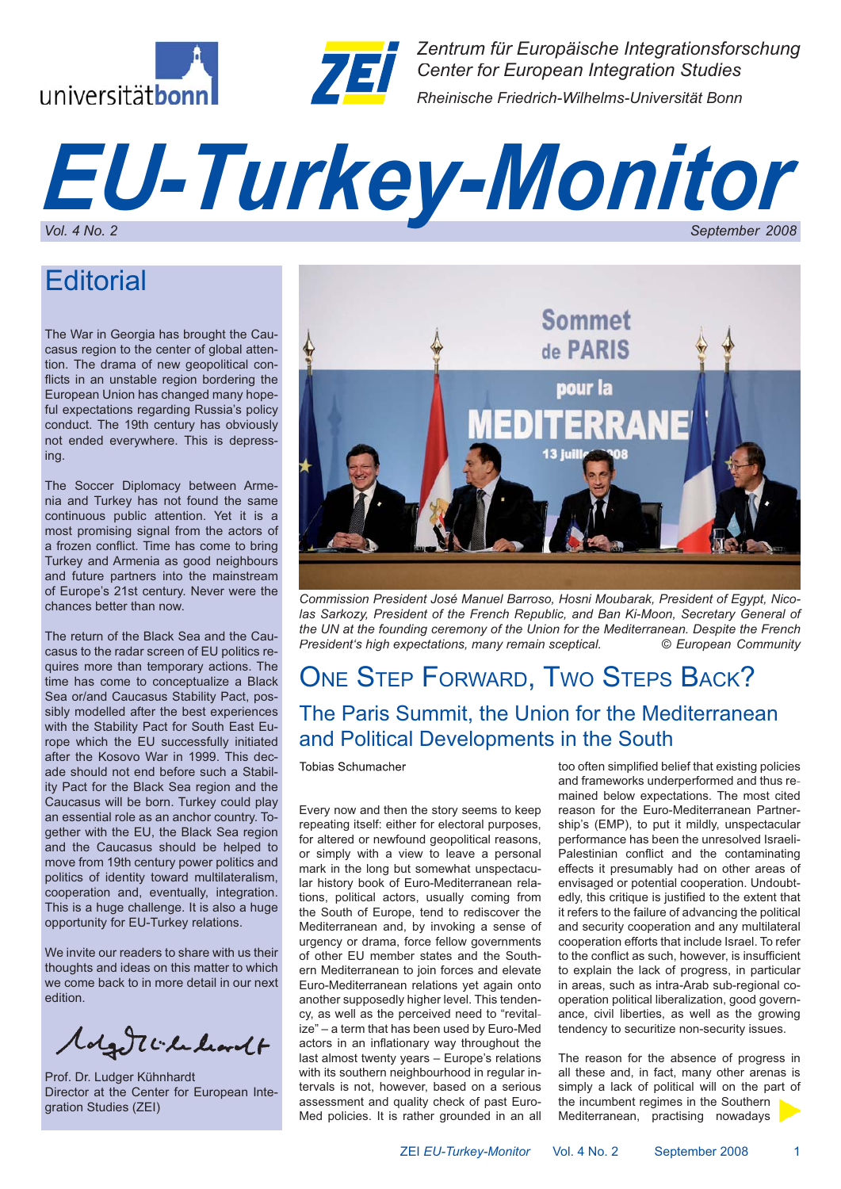



*Zentrum für Europäische Integrationsforschung Center for European Integration Studies Rheinische Friedrich-Wilhelms-Universität Bonn*

# *EU-Turkey-Monitor Vol. 4 No. 2 September 2008*

# **Editorial**

The War in Georgia has brought the Caucasus region to the center of global attention. The drama of new geopolitical conflicts in an unstable region bordering the European Union has changed many hopeful expectations regarding Russia's policy conduct. The 19th century has obviously not ended everywhere. This is depressing.

The Soccer Diplomacy between Armenia and Turkey has not found the same continuous public attention. Yet it is a most promising signal from the actors of a frozen conflict. Time has come to bring Turkey and Armenia as good neighbours and future partners into the mainstream of Europe's 21st century. Never were the chances better than now.

The return of the Black Sea and the Caucasus to the radar screen of EU politics requires more than temporary actions. The time has come to conceptualize a Black Sea or/and Caucasus Stability Pact, possibly modelled after the best experiences with the Stability Pact for South East Europe which the EU successfully initiated after the Kosovo War in 1999. This decade should not end before such a Stability Pact for the Black Sea region and the Caucasus will be born. Turkey could play an essential role as an anchor country. Together with the EU, the Black Sea region and the Caucasus should be helped to move from 19th century power politics and politics of identity toward multilateralism, cooperation and, eventually, integration. This is a huge challenge. It is also a huge opportunity for EU-Turkey relations.

We invite our readers to share with us their thoughts and ideas on this matter to which we come back to in more detail in our next edition.

Molgott le learnt

Prof. Dr. Ludger Kühnhardt Director at the Center for European Integration Studies (ZEI)



*Commission President José Manuel Barroso, Hosni Moubarak, President of Egypt, Nicolas Sarkozy, President of the French Republic, and Ban Ki-Moon, Secretary General of the UN at the founding ceremony of the Union for the Mediterranean. Despite the French President's high expectations, many remain sceptical. © European Community*

### ONE STEP FORWARD, TWO STEPS BACK? The Paris Summit, the Union for the Mediterranean and Political Developments in the South

Tobias Schumacher

Every now and then the story seems to keep repeating itself: either for electoral purposes, for altered or newfound geopolitical reasons, or simply with a view to leave a personal mark in the long but somewhat unspectacular history book of Euro-Mediterranean relations, political actors, usually coming from the South of Europe, tend to rediscover the Mediterranean and, by invoking a sense of urgency or drama, force fellow governments of other EU member states and the Southern Mediterranean to join forces and elevate Euro-Mediterranean relations yet again onto another supposedly higher level. This tendency, as well as the perceived need to "revitalize" – a term that has been used by Euro-Med actors in an inflationary way throughout the last almost twenty years – Europe's relations with its southern neighbourhood in regular intervals is not, however, based on a serious assessment and quality check of past Euro-Med policies. It is rather grounded in an all

too often simplified belief that existing policies and frameworks underperformed and thus remained below expectations. The most cited reason for the Euro-Mediterranean Partnership's (EMP), to put it mildly, unspectacular performance has been the unresolved Israeli-Palestinian conflict and the contaminating effects it presumably had on other areas of envisaged or potential cooperation. Undoubtedly, this critique is justified to the extent that it refers to the failure of advancing the political and security cooperation and any multilateral cooperation efforts that include Israel. To refer to the conflict as such, however, is insufficient to explain the lack of progress, in particular in areas, such as intra-Arab sub-regional cooperation political liberalization, good governance, civil liberties, as well as the growing tendency to securitize non-security issues.

The reason for the absence of progress in all these and, in fact, many other arenas is simply a lack of political will on the part of the incumbent regimes in the Southern Mediterranean, practising nowadays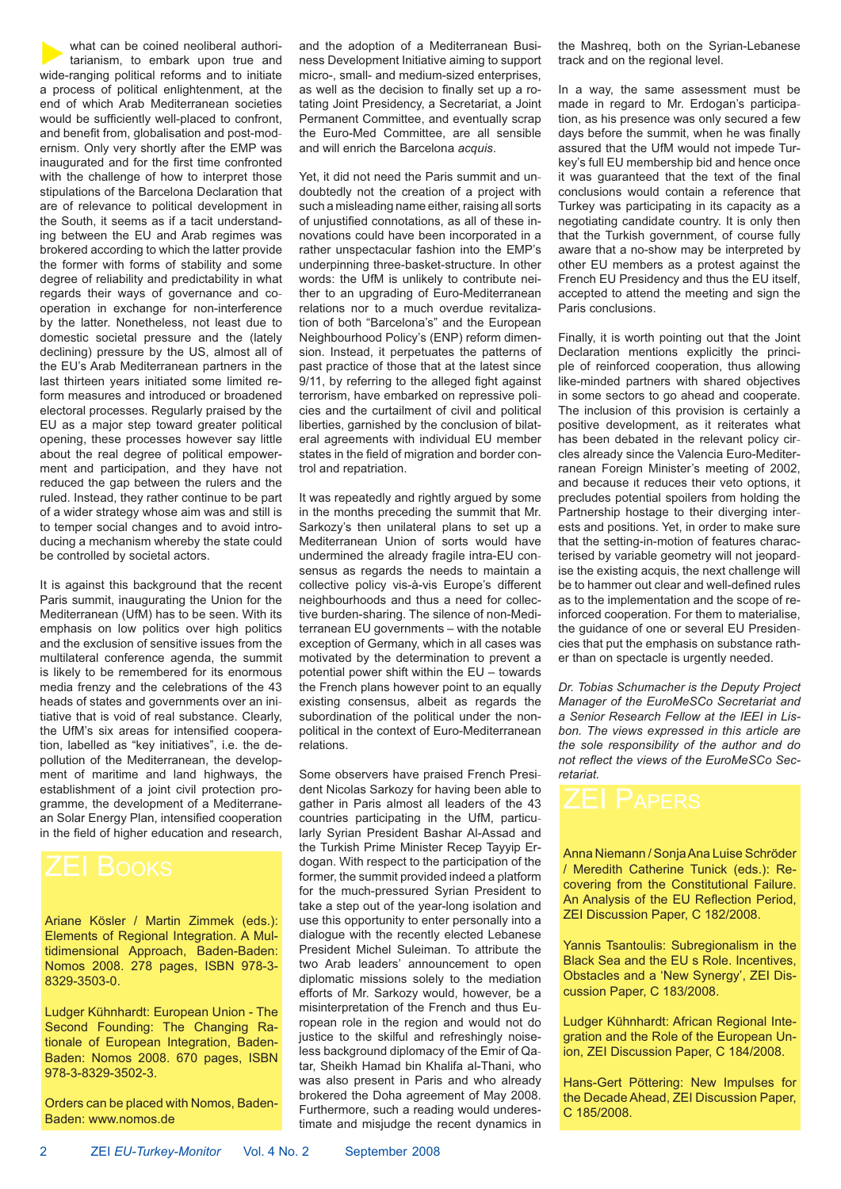what can be coined neoliberal authoritarianism, to embark upon true and wide-ranging political reforms and to initiate a process of political enlightenment, at the end of which Arab Mediterranean societies would be sufficiently well-placed to confront. and benefit from, globalisation and post-modernism. Only very shortly after the EMP was inaugurated and for the first time confronted with the challenge of how to interpret those stipulations of the Barcelona Declaration that are of relevance to political development in the South, it seems as if a tacit understanding between the EU and Arab regimes was brokered according to which the latter provide the former with forms of stability and some degree of reliability and predictability in what regards their ways of governance and cooperation in exchange for non-interference by the latter. Nonetheless, not least due to domestic societal pressure and the (lately declining) pressure by the US, almost all of the EU's Arab Mediterranean partners in the last thirteen years initiated some limited reform measures and introduced or broadened electoral processes. Regularly praised by the EU as a major step toward greater political opening, these processes however say little about the real degree of political empowerment and participation, and they have not reduced the gap between the rulers and the ruled. Instead, they rather continue to be part of a wider strategy whose aim was and still is to temper social changes and to avoid introducing a mechanism whereby the state could be controlled by societal actors.

It is against this background that the recent Paris summit, inaugurating the Union for the Mediterranean (UfM) has to be seen. With its emphasis on low politics over high politics and the exclusion of sensitive issues from the multilateral conference agenda, the summit is likely to be remembered for its enormous media frenzy and the celebrations of the 43 heads of states and governments over an initiative that is void of real substance. Clearly, the UfM's six areas for intensified cooperation, labelled as "key initiatives", i.e. the depollution of the Mediterranean, the development of maritime and land highways, the establishment of a joint civil protection programme, the development of a Mediterranean Solar Energy Plan, intensified cooperation in the field of higher education and research,

Ariane Kösler / Martin Zimmek (eds.): Elements of Regional Integration. A Multidimensional Approach, Baden-Baden: Nomos 2008. 278 pages, ISBN 978-3- 8329-3503-0.

Ludger Kühnhardt: European Union - The Second Founding: The Changing Rationale of European Integration, Baden-Baden: Nomos 2008. 670 pages, ISBN 978-3-8329-3502-3.

Orders can be placed with Nomos, Baden-Baden: www.nomos.de

and the adoption of a Mediterranean Business Development Initiative aiming to support micro-, small- and medium-sized enterprises, as well as the decision to finally set up a rotating Joint Presidency, a Secretariat, a Joint Permanent Committee, and eventually scrap the Euro-Med Committee, are all sensible and will enrich the Barcelona *acquis*.

Yet, it did not need the Paris summit and undoubtedly not the creation of a project with such a misleading name either, raising all sorts of unjustified connotations, as all of these innovations could have been incorporated in a rather unspectacular fashion into the EMP's underpinning three-basket-structure. In other words: the UfM is unlikely to contribute neither to an upgrading of Euro-Mediterranean relations nor to a much overdue revitalization of both "Barcelona's" and the European Neighbourhood Policy's (ENP) reform dimension. Instead, it perpetuates the patterns of past practice of those that at the latest since  $9/11$ , by referring to the alleged fight against terrorism, have embarked on repressive policies and the curtailment of civil and political liberties, garnished by the conclusion of bilateral agreements with individual EU member states in the field of migration and border control and repatriation.

It was repeatedly and rightly argued by some in the months preceding the summit that Mr. Sarkozy's then unilateral plans to set up a Mediterranean Union of sorts would have undermined the already fragile intra-EU consensus as regards the needs to maintain a collective policy vis-à-vis Europe's different neighbourhoods and thus a need for collective burden-sharing. The silence of non-Mediterranean EU governments – with the notable exception of Germany, which in all cases was motivated by the determination to prevent a potential power shift within the EU – towards the French plans however point to an equally existing consensus, albeit as regards the subordination of the political under the nonpolitical in the context of Euro-Mediterranean relations.

Some observers have praised French President Nicolas Sarkozy for having been able to gather in Paris almost all leaders of the 43 countries participating in the UfM, particularly Syrian President Bashar Al-Assad and the Turkish Prime Minister Recep Tayyip Erdogan. With respect to the participation of the former, the summit provided indeed a platform for the much-pressured Syrian President to take a step out of the year-long isolation and use this opportunity to enter personally into a dialogue with the recently elected Lebanese President Michel Suleiman. To attribute the two Arab leaders' announcement to open diplomatic missions solely to the mediation efforts of Mr. Sarkozy would, however, be a misinterpretation of the French and thus European role in the region and would not do justice to the skilful and refreshingly noiseless background diplomacy of the Emir of Qatar, Sheikh Hamad bin Khalifa al-Thani, who was also present in Paris and who already brokered the Doha agreement of May 2008. Furthermore, such a reading would underestimate and misjudge the recent dynamics in the Mashreq, both on the Syrian-Lebanese track and on the regional level.

In a way, the same assessment must be made in regard to Mr. Erdogan's participation, as his presence was only secured a few days before the summit, when he was finally assured that the UfM would not impede Turkey's full EU membership bid and hence once it was guaranteed that the text of the final conclusions would contain a reference that Turkey was participating in its capacity as a negotiating candidate country. It is only then that the Turkish government, of course fully aware that a no-show may be interpreted by other EU members as a protest against the French EU Presidency and thus the EU itself, accepted to attend the meeting and sign the Paris conclusions.

Finally, it is worth pointing out that the Joint Declaration mentions explicitly the principle of reinforced cooperation, thus allowing like-minded partners with shared objectives in some sectors to go ahead and cooperate. The inclusion of this provision is certainly a positive development, as it reiterates what has been debated in the relevant policy circles already since the Valencia Euro-Mediterranean Foreign Minister's meeting of 2002, and because it reduces their veto options, it precludes potential spoilers from holding the Partnership hostage to their diverging interests and positions. Yet, in order to make sure that the setting-in-motion of features characterised by variable geometry will not jeopardise the existing acquis, the next challenge will be to hammer out clear and well-defined rules as to the implementation and the scope of reinforced cooperation. For them to materialise, the guidance of one or several EU Presidencies that put the emphasis on substance rather than on spectacle is urgently needed.

*Dr. Tobias Schumacher is the Deputy Project Manager of the EuroMeSCo Secretariat and a Senior Research Fellow at the IEEI in Lisbon. The views expressed in this article are the sole responsibility of the author and do*  $not$  reflect the views of the EuroMeSCo Sec*retariat.*



Anna Niemann / Sonja Ana Luise Schröder / Meredith Catherine Tunick (eds.): Recovering from the Constitutional Failure. An Analysis of the EU Reflection Period, ZEI Discussion Paper, C 182/2008.

Yannis Tsantoulis: Subregionalism in the Black Sea and the EU s Role. Incentives, Obstacles and a 'New Synergy', ZEI Discussion Paper, C 183/2008.

Ludger Kühnhardt: African Regional Integration and the Role of the European Union, ZEI Discussion Paper, C 184/2008.

Hans-Gert Pöttering: New Impulses for the Decade Ahead, ZEI Discussion Paper, C 185/2008.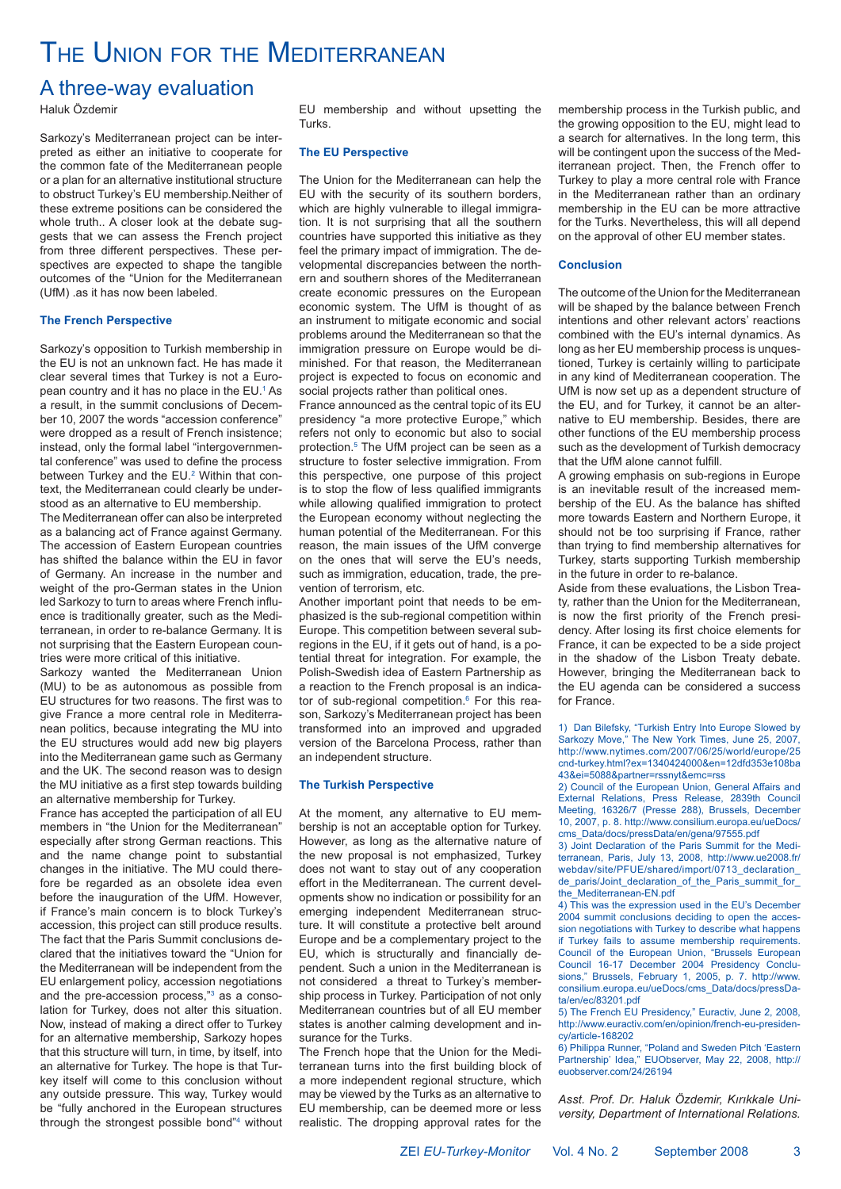# THE UNION FOR THE MEDITERRANEAN

### A three-way evaluation

Haluk Özdemir

Sarkozy's Mediterranean project can be interpreted as either an initiative to cooperate for the common fate of the Mediterranean people or a plan for an alternative institutional structure to obstruct Turkey's EU membership.Neither of these extreme positions can be considered the whole truth.. A closer look at the debate suggests that we can assess the French project from three different perspectives. These perspectives are expected to shape the tangible outcomes of the "Union for the Mediterranean (UfM) .as it has now been labeled.

#### **The French Perspective**

Sarkozy's opposition to Turkish membership in the EU is not an unknown fact. He has made it clear several times that Turkey is not a European country and it has no place in the EU.<sup>1</sup> As a result, in the summit conclusions of December 10, 2007 the words "accession conference" were dropped as a result of French insistence; instead, only the formal label "intergovernmental conference" was used to define the process between Turkey and the EU.<sup>2</sup> Within that context, the Mediterranean could clearly be understood as an alternative to EU membership.

The Mediterranean offer can also be interpreted as a balancing act of France against Germany. The accession of Eastern European countries has shifted the balance within the EU in favor of Germany. An increase in the number and weight of the pro-German states in the Union led Sarkozy to turn to areas where French influence is traditionally greater, such as the Mediterranean, in order to re-balance Germany. It is not surprising that the Eastern European countries were more critical of this initiative.

Sarkozy wanted the Mediterranean Union (MU) to be as autonomous as possible from EU structures for two reasons. The first was to give France a more central role in Mediterranean politics, because integrating the MU into the EU structures would add new big players into the Mediterranean game such as Germany and the UK. The second reason was to design the MU initiative as a first step towards building an alternative membership for Turkey.

France has accepted the participation of all EU members in "the Union for the Mediterranean" especially after strong German reactions. This and the name change point to substantial changes in the initiative. The MU could therefore be regarded as an obsolete idea even before the inauguration of the UfM. However, if France's main concern is to block Turkey's accession, this project can still produce results. The fact that the Paris Summit conclusions declared that the initiatives toward the "Union for the Mediterranean will be independent from the EU enlargement policy, accession negotiations and the pre-accession process,"<sup>3</sup> as a consolation for Turkey, does not alter this situation. Now, instead of making a direct offer to Turkey for an alternative membership, Sarkozy hopes that this structure will turn, in time, by itself, into an alternative for Turkey. The hope is that Turkey itself will come to this conclusion without any outside pressure. This way, Turkey would be "fully anchored in the European structures through the strongest possible bond"4 without EU membership and without upsetting the **Turks** 

#### **The EU Perspective**

The Union for the Mediterranean can help the EU with the security of its southern borders, which are highly vulnerable to illegal immigration. It is not surprising that all the southern countries have supported this initiative as they feel the primary impact of immigration. The developmental discrepancies between the northern and southern shores of the Mediterranean create economic pressures on the European economic system. The UfM is thought of as an instrument to mitigate economic and social problems around the Mediterranean so that the immigration pressure on Europe would be diminished. For that reason, the Mediterranean project is expected to focus on economic and social projects rather than political ones.

France announced as the central topic of its EU presidency "a more protective Europe," which refers not only to economic but also to social protection.5 The UfM project can be seen as a structure to foster selective immigration. From this perspective, one purpose of this project is to stop the flow of less qualified immigrants while allowing qualified immigration to protect the European economy without neglecting the human potential of the Mediterranean. For this reason, the main issues of the UfM converge on the ones that will serve the EU's needs, such as immigration, education, trade, the prevention of terrorism, etc.

Another important point that needs to be emphasized is the sub-regional competition within Europe. This competition between several subregions in the EU, if it gets out of hand, is a potential threat for integration. For example, the Polish-Swedish idea of Eastern Partnership as a reaction to the French proposal is an indicator of sub-regional competition.<sup>6</sup> For this reason, Sarkozy's Mediterranean project has been transformed into an improved and upgraded version of the Barcelona Process, rather than an independent structure.

#### **The Turkish Perspective**

At the moment, any alternative to EU membership is not an acceptable option for Turkey. However, as long as the alternative nature of the new proposal is not emphasized, Turkey does not want to stay out of any cooperation effort in the Mediterranean. The current developments show no indication or possibility for an emerging independent Mediterranean structure. It will constitute a protective belt around Europe and be a complementary project to the EU, which is structurally and financially dependent. Such a union in the Mediterranean is not considered a threat to Turkey's membership process in Turkey. Participation of not only Mediterranean countries but of all EU member states is another calming development and insurance for the Turks.

The French hope that the Union for the Mediterranean turns into the first building block of a more independent regional structure, which may be viewed by the Turks as an alternative to EU membership, can be deemed more or less realistic. The dropping approval rates for the membership process in the Turkish public, and the growing opposition to the EU, might lead to a search for alternatives. In the long term, this will be contingent upon the success of the Mediterranean project. Then, the French offer to Turkey to play a more central role with France in the Mediterranean rather than an ordinary membership in the EU can be more attractive for the Turks. Nevertheless, this will all depend on the approval of other EU member states.

#### **Conclusion**

The outcome of the Union for the Mediterranean will be shaped by the balance between French intentions and other relevant actors' reactions combined with the EU's internal dynamics. As long as her EU membership process is unquestioned, Turkey is certainly willing to participate in any kind of Mediterranean cooperation. The UfM is now set up as a dependent structure of the EU, and for Turkey, it cannot be an alternative to EU membership. Besides, there are other functions of the EU membership process such as the development of Turkish democracy that the UfM alone cannot fulfill.

A growing emphasis on sub-regions in Europe is an inevitable result of the increased membership of the EU. As the balance has shifted more towards Eastern and Northern Europe, it should not be too surprising if France, rather than trying to find membership alternatives for Turkey, starts supporting Turkish membership in the future in order to re-balance.

Aside from these evaluations, the Lisbon Treaty, rather than the Union for the Mediterranean, is now the first priority of the French presidency. After losing its first choice elements for France, it can be expected to be a side project in the shadow of the Lisbon Treaty debate. However, bringing the Mediterranean back to the EU agenda can be considered a success for France.

1) Dan Bilefsky, "Turkish Entry Into Europe Slowed by Sarkozy Move," The New York Times, June 25, 2007, http://www.nytimes.com/2007/06/25/world/europe/25 cnd-turkey.html?ex=1340424000&en=12dfd353e108ba 43&ei=5088&partner=rssnyt&emc=rss

2) Council of the European Union, General Affairs and External Relations, Press Release, 2839th Council Meeting, 16326/7 (Presse 288), Brussels, December 10, 2007, p. 8. http://www.consilium.europa.eu/ueDocs/ cms\_Data/docs/pressData/en/gena/97555.pdf

3) Joint Declaration of the Paris Summit for the Mediterranean, Paris, July 13, 2008, http://www.ue2008.fr/ webdav/site/PFUE/shared/import/0713\_declaration\_ de\_paris/Joint\_declaration\_of\_the\_Paris\_summit\_for\_ the\_Mediterranean-EN.pdf

4) This was the expression used in the EU's December 2004 summit conclusions deciding to open the accession negotiations with Turkey to describe what happens if Turkey fails to assume membership requirements. Council of the European Union, "Brussels European Council 16-17 December 2004 Presidency Conclusions," Brussels, February 1, 2005, p. 7. http://www. consilium.europa.eu/ueDocs/cms\_Data/docs/pressData/en/ec/83201.pdf

5) The French EU Presidency," Euractiv, June 2, 2008, http://www.euractiv.com/en/opinion/french-eu-presidency/article-168202

6) Philippa Runner, "Poland and Sweden Pitch 'Eastern Partnership' Idea," EUObserver, May 22, 2008, http:// euobserver.com/24/26194

Asst. Prof. Dr. Haluk Özdemir, Kırıkkale Uni*versity, Department of International Relations.*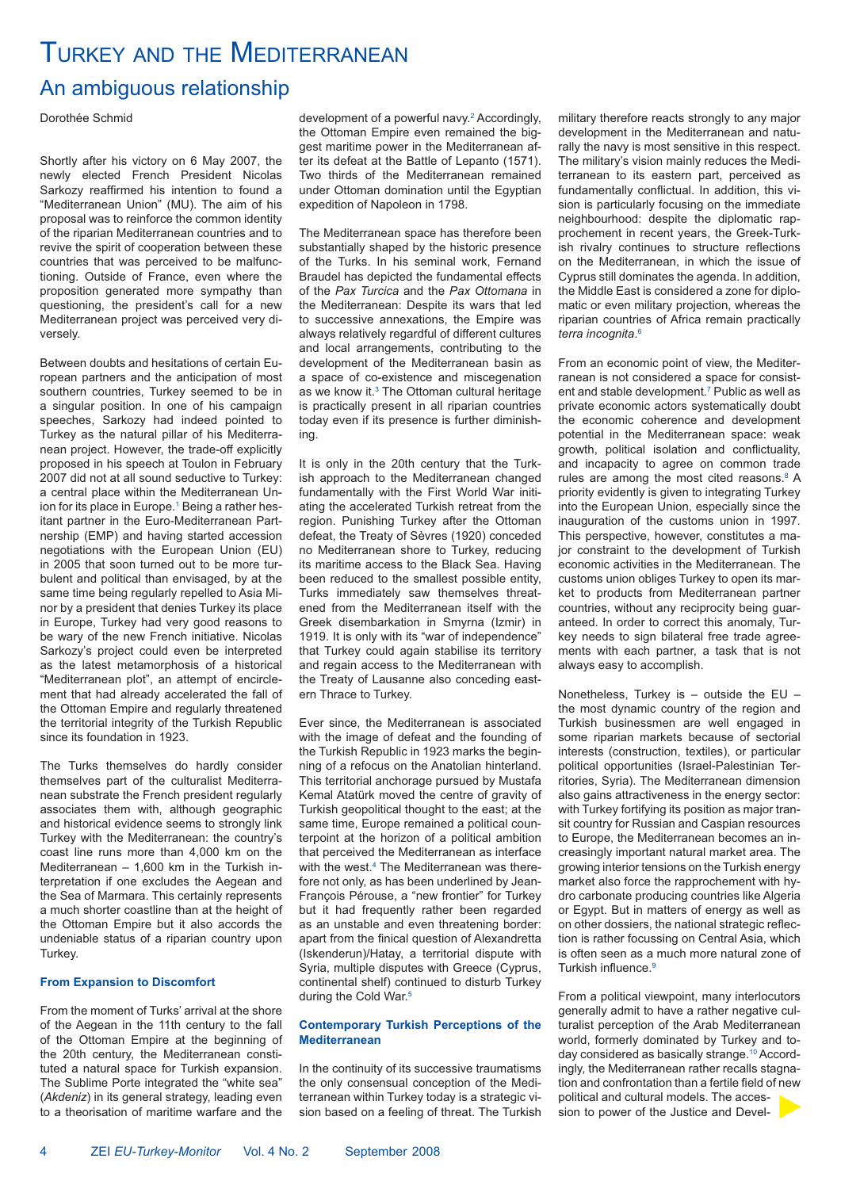# TURKEY AND THE MEDITERRANEAN

### An ambiguous relationship

Dorothée Schmid

Shortly after his victory on 6 May 2007, the newly elected French President Nicolas Sarkozy reaffirmed his intention to found a "Mediterranean Union" (MU). The aim of his proposal was to reinforce the common identity of the riparian Mediterranean countries and to revive the spirit of cooperation between these countries that was perceived to be malfunctioning. Outside of France, even where the proposition generated more sympathy than questioning, the president's call for a new Mediterranean project was perceived very diversely.

Between doubts and hesitations of certain European partners and the anticipation of most southern countries, Turkey seemed to be in a singular position. In one of his campaign speeches, Sarkozy had indeed pointed to Turkey as the natural pillar of his Mediterranean project. However, the trade-off explicitly proposed in his speech at Toulon in February 2007 did not at all sound seductive to Turkey: a central place within the Mediterranean Union for its place in Europe.<sup>1</sup> Being a rather hesitant partner in the Euro-Mediterranean Partnership (EMP) and having started accession negotiations with the European Union (EU) in 2005 that soon turned out to be more turbulent and political than envisaged, by at the same time being regularly repelled to Asia Minor by a president that denies Turkey its place in Europe, Turkey had very good reasons to be wary of the new French initiative. Nicolas Sarkozy's project could even be interpreted as the latest metamorphosis of a historical "Mediterranean plot", an attempt of encirclement that had already accelerated the fall of the Ottoman Empire and regularly threatened the territorial integrity of the Turkish Republic since its foundation in 1923.

The Turks themselves do hardly consider themselves part of the culturalist Mediterranean substrate the French president regularly associates them with, although geographic and historical evidence seems to strongly link Turkey with the Mediterranean: the country's coast line runs more than 4,000 km on the Mediterranean – 1,600 km in the Turkish interpretation if one excludes the Aegean and the Sea of Marmara. This certainly represents a much shorter coastline than at the height of the Ottoman Empire but it also accords the undeniable status of a riparian country upon Turkey.

#### **From Expansion to Discomfort**

From the moment of Turks' arrival at the shore of the Aegean in the 11th century to the fall of the Ottoman Empire at the beginning of the 20th century, the Mediterranean constituted a natural space for Turkish expansion. The Sublime Porte integrated the "white sea" (*Akdeniz*) in its general strategy, leading even to a theorisation of maritime warfare and the

development of a powerful navy.<sup>2</sup> Accordingly, the Ottoman Empire even remained the biggest maritime power in the Mediterranean after its defeat at the Battle of Lepanto (1571). Two thirds of the Mediterranean remained under Ottoman domination until the Egyptian expedition of Napoleon in 1798.

The Mediterranean space has therefore been substantially shaped by the historic presence of the Turks. In his seminal work, Fernand Braudel has depicted the fundamental effects of the *Pax Turcica* and the *Pax Ottomana* in the Mediterranean: Despite its wars that led to successive annexations, the Empire was always relatively regardful of different cultures and local arrangements, contributing to the development of the Mediterranean basin as a space of co-existence and miscegenation as we know it.<sup>3</sup> The Ottoman cultural heritage is practically present in all riparian countries today even if its presence is further diminishing.

It is only in the 20th century that the Turkish approach to the Mediterranean changed fundamentally with the First World War initiating the accelerated Turkish retreat from the region. Punishing Turkey after the Ottoman defeat, the Treaty of Sèvres (1920) conceded no Mediterranean shore to Turkey, reducing its maritime access to the Black Sea. Having been reduced to the smallest possible entity, Turks immediately saw themselves threatened from the Mediterranean itself with the Greek disembarkation in Smyrna (Izmir) in 1919. It is only with its "war of independence" that Turkey could again stabilise its territory and regain access to the Mediterranean with the Treaty of Lausanne also conceding eastern Thrace to Turkey.

Ever since, the Mediterranean is associated with the image of defeat and the founding of the Turkish Republic in 1923 marks the beginning of a refocus on the Anatolian hinterland. This territorial anchorage pursued by Mustafa Kemal Atatürk moved the centre of gravity of Turkish geopolitical thought to the east; at the same time, Europe remained a political counterpoint at the horizon of a political ambition that perceived the Mediterranean as interface with the west.<sup>4</sup> The Mediterranean was therefore not only, as has been underlined by Jean-François Pérouse, a "new frontier" for Turkey but it had frequently rather been regarded as an unstable and even threatening border: apart from the finical question of Alexandretta (Iskenderun)/Hatay, a territorial dispute with Syria, multiple disputes with Greece (Cyprus, continental shelf) continued to disturb Turkey during the Cold War.<sup>5</sup>

#### **Contemporary Turkish Perceptions of the Mediterranean**

In the continuity of its successive traumatisms the only consensual conception of the Mediterranean within Turkey today is a strategic vision based on a feeling of threat. The Turkish military therefore reacts strongly to any major development in the Mediterranean and naturally the navy is most sensitive in this respect. The military's vision mainly reduces the Mediterranean to its eastern part, perceived as fundamentally conflictual. In addition, this vision is particularly focusing on the immediate neighbourhood: despite the diplomatic rapprochement in recent years, the Greek-Turk- $\overline{a}$  ish rivalry continues to structure reflections on the Mediterranean, in which the issue of Cyprus still dominates the agenda. In addition, the Middle East is considered a zone for diplomatic or even military projection, whereas the riparian countries of Africa remain practically *terra incognita*. 6

From an economic point of view, the Mediterranean is not considered a space for consistent and stable development.<sup>7</sup> Public as well as private economic actors systematically doubt the economic coherence and development potential in the Mediterranean space: weak growth, political isolation and conflictuality. and incapacity to agree on common trade rules are among the most cited reasons.<sup>8</sup> A priority evidently is given to integrating Turkey into the European Union, especially since the inauguration of the customs union in 1997. This perspective, however, constitutes a major constraint to the development of Turkish economic activities in the Mediterranean. The customs union obliges Turkey to open its market to products from Mediterranean partner countries, without any reciprocity being guaranteed. In order to correct this anomaly, Turkey needs to sign bilateral free trade agreements with each partner, a task that is not always easy to accomplish.

Nonetheless, Turkey is – outside the EU – the most dynamic country of the region and Turkish businessmen are well engaged in some riparian markets because of sectorial interests (construction, textiles), or particular political opportunities (Israel-Palestinian Territories, Syria). The Mediterranean dimension also gains attractiveness in the energy sector: with Turkey fortifying its position as major transit country for Russian and Caspian resources to Europe, the Mediterranean becomes an increasingly important natural market area. The growing interior tensions on the Turkish energy market also force the rapprochement with hydro carbonate producing countries like Algeria or Egypt. But in matters of energy as well as on other dossiers, the national strategic reflection is rather focussing on Central Asia, which is often seen as a much more natural zone of Turkish influence.<sup>9</sup>

From a political viewpoint, many interlocutors generally admit to have a rather negative culturalist perception of the Arab Mediterranean world, formerly dominated by Turkey and today considered as basically strange.<sup>10</sup> Accordingly, the Mediterranean rather recalls stagnation and confrontation than a fertile field of new political and cultural models. The accession to power of the Justice and Devel-

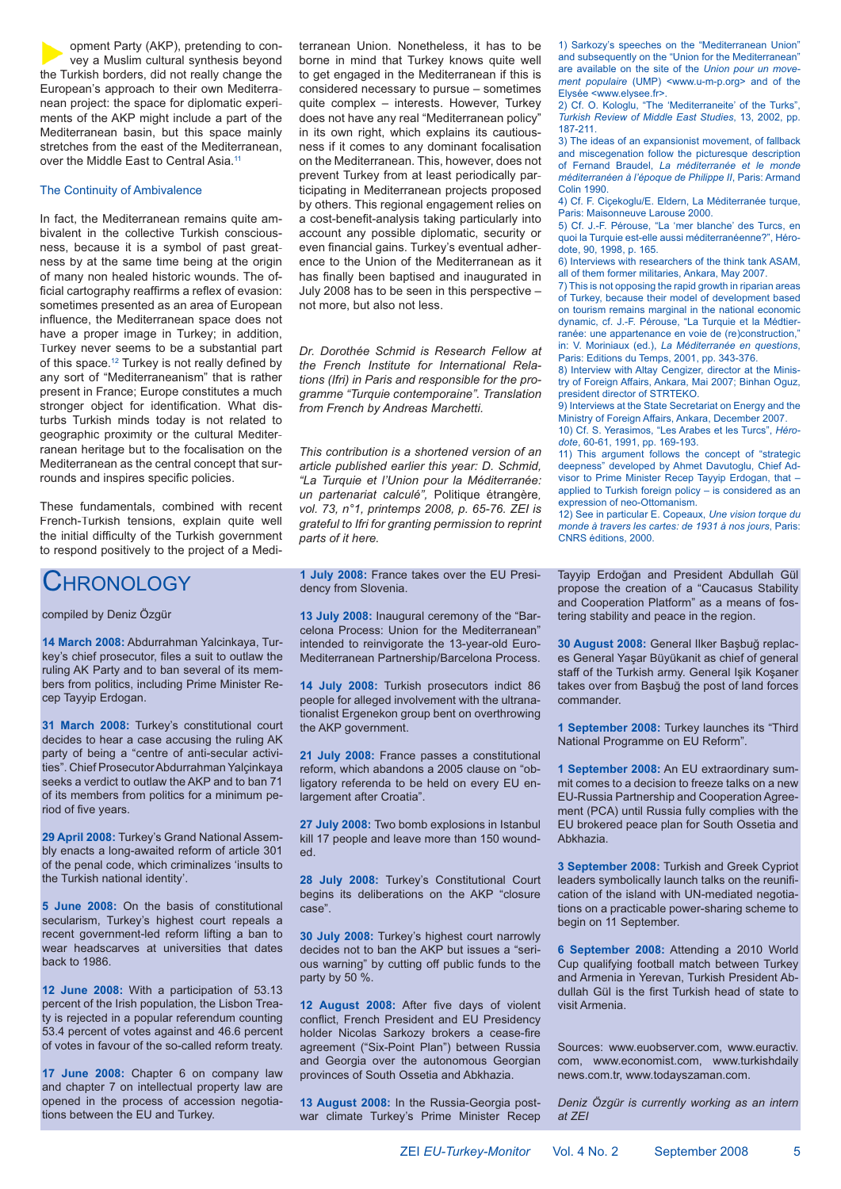opment Party (AKP), pretending to convey a Muslim cultural synthesis beyond the Turkish borders, did not really change the European's approach to their own Mediterranean project: the space for diplomatic experiments of the AKP might include a part of the Mediterranean basin, but this space mainly stretches from the east of the Mediterranean, over the Middle East to Central Asia.<sup>11</sup>

#### The Continuity of Ambivalence

In fact, the Mediterranean remains quite ambivalent in the collective Turkish consciousness, because it is a symbol of past greatness by at the same time being at the origin of many non healed historic wounds. The of ficial cartography reaffirms a reflex of evasion: sometimes presented as an area of European influence, the Mediterranean space does not have a proper image in Turkey; in addition, Turkey never seems to be a substantial part of this space.<sup>12</sup> Turkey is not really defined by any sort of "Mediterraneanism" that is rather present in France; Europe constitutes a much stronger object for identification. What disturbs Turkish minds today is not related to geographic proximity or the cultural Mediterranean heritage but to the focalisation on the Mediterranean as the central concept that surrounds and inspires specific policies.

These fundamentals, combined with recent French-Turkish tensions, explain quite well the initial difficulty of the Turkish government to respond positively to the project of a Medi-

### **CHRONOLOGY**

compiled by Deniz Özgür

**14 March 2008:** Abdurrahman Yalcinkaya, Turkey's chief prosecutor, files a suit to outlaw the ruling AK Party and to ban several of its members from politics, including Prime Minister Recep Tayyip Erdogan.

**31 March 2008:** Turkey's constitutional court decides to hear a case accusing the ruling AK party of being a "centre of anti-secular activities". Chief Prosecutor Abdurrahman Yalçinkaya seeks a verdict to outlaw the AKP and to ban 71 of its members from politics for a minimum period of five years.

**29 April 2008:** Turkey's Grand National Assembly enacts a long-awaited reform of article 301 of the penal code, which criminalizes 'insults to the Turkish national identity'.

**5 June 2008:** On the basis of constitutional secularism, Turkey's highest court repeals a recent government-led reform lifting a ban to wear headscarves at universities that dates back to 1986.

**12 June 2008:** With a participation of 53.13 percent of the Irish population, the Lisbon Treaty is rejected in a popular referendum counting 53.4 percent of votes against and 46.6 percent of votes in favour of the so-called reform treaty.

**17 June 2008:** Chapter 6 on company law and chapter 7 on intellectual property law are opened in the process of accession negotiations between the EU and Turkey.

terranean Union. Nonetheless, it has to be borne in mind that Turkey knows quite well to get engaged in the Mediterranean if this is considered necessary to pursue – sometimes quite complex – interests. However, Turkey does not have any real "Mediterranean policy" in its own right, which explains its cautiousness if it comes to any dominant focalisation on the Mediterranean. This, however, does not prevent Turkey from at least periodically participating in Mediterranean projects proposed by others. This regional engagement relies on a cost-benefit-analysis taking particularly into account any possible diplomatic, security or even financial gains. Turkey's eventual adherence to the Union of the Mediterranean as it has finally been baptised and inaugurated in July 2008 has to be seen in this perspective – not more, but also not less.

*Dr. Dorothée Schmid is Research Fellow at the French Institute for International Relations (Ifri) in Paris and responsible for the programme "Turquie contemporaine". Translation from French by Andreas Marchetti.*

*This contribution is a shortened version of an article published earlier this year: D. Schmid, "La Turquie et l'Union pour la Méditerranée: un partenariat calculé",* Politique étrangère*, vol. 73, n°1, printemps 2008, p. 65-76. ZEI is grateful to Ifri for granting permission to reprint parts of it here.*

**1 July 2008:** France takes over the EU Presidency from Slovenia.

**13 July 2008:** Inaugural ceremony of the "Barcelona Process: Union for the Mediterranean" intended to reinvigorate the 13-year-old Euro-Mediterranean Partnership/Barcelona Process.

**14 July 2008:** Turkish prosecutors indict 86 people for alleged involvement with the ultranationalist Ergenekon group bent on overthrowing the AKP government.

**21 July 2008:** France passes a constitutional reform, which abandons a 2005 clause on "obligatory referenda to be held on every EU enlargement after Croatia".

**27 July 2008:** Two bomb explosions in Istanbul kill 17 people and leave more than 150 wounded.

**28 July 2008:** Turkey's Constitutional Court begins its deliberations on the AKP "closure case".

**30 July 2008:** Turkey's highest court narrowly decides not to ban the AKP but issues a "serious warning" by cutting off public funds to the party by 50 %.

12 August 2008: After five days of violent conflict. French President and EU Presidency holder Nicolas Sarkozy brokers a cease-fire agreement ("Six-Point Plan") between Russia and Georgia over the autonomous Georgian provinces of South Ossetia and Abkhazia.

**13 August 2008:** In the Russia-Georgia postwar climate Turkey's Prime Minister Recep 1) Sarkozy's speeches on the "Mediterranean Union" and subsequently on the "Union for the Mediterranean" are available on the site of the *Union pour un movement populaire* (UMP) <www.u-m-p.org> and of the Elysée <www.elysee.fr>.

2) Cf. O. Kologlu, "The 'Mediterraneite' of the Turks", *Turkish Review of Middle East Studies*, 13, 2002, pp. 187-211.

3) The ideas of an expansionist movement, of fallback and miscegenation follow the picturesque description of Fernand Braudel, *La méditerranée et le monde méditerranéen à l'époque de Philippe II*, Paris: Armand Colin 1990.

4) Cf. F. Ciçekoglu/E. Eldern, La Méditerranée turque, Paris: Maisonneuve Larouse 2000.

5) Cf. J.-F. Pérouse, "La 'mer blanche' des Turcs, en quoi la Turquie est-elle aussi méditerranéenne?", Hérodote, 90, 1998, p. 165.

6) Interviews with researchers of the think tank ASAM, all of them former militaries, Ankara, May 2007.

7) This is not opposing the rapid growth in riparian areas of Turkey, because their model of development based on tourism remains marginal in the national economic dynamic, cf. J.-F. Pérouse, "La Turquie et la Médtierranée: une appartenance en voie de (re)construction.' in: V. Moriniaux (ed.), *La Méditerranée en questions*, Paris: Editions du Temps, 2001, pp. 343-376.

8) Interview with Altay Cengizer, director at the Ministry of Foreign Affairs, Ankara, Mai 2007; Binhan Oguz, president director of STRTEKO.

9) Interviews at the State Secretariat on Energy and the Ministry of Foreign Affairs, Ankara, December 2007.

10) Cf. S. Yerasimos, "Les Arabes et les Turcs", *Hérodote*, 60-61, 1991, pp. 169-193.

11) This argument follows the concept of "strategic deepness" developed by Ahmet Davutoglu, Chief Advisor to Prime Minister Recep Tayyip Erdogan, that – applied to Turkish foreign policy – is considered as an expression of neo-Ottomanism.

12) See in particular E. Copeaux, *Une vision torque du monde à travers les cartes: de 1931 à nos jours*, Paris: CNRS éditions, 2000.

Tayyip Erdoğan and President Abdullah Gül propose the creation of a "Caucasus Stability and Cooperation Platform" as a means of fostering stability and peace in the region.

30 August 2008: General Ilker Basbuğ replaces General Yaşar Büyükanit as chief of general staff of the Turkish army. General Işik Koşaner takes over from Başbuğ the post of land forces commander.

**1 September 2008:** Turkey launches its "Third National Programme on EU Reform".

**1 September 2008:** An EU extraordinary summit comes to a decision to freeze talks on a new EU-Russia Partnership and Cooperation Agreement (PCA) until Russia fully complies with the EU brokered peace plan for South Ossetia and Abkhazia.

**3 September 2008:** Turkish and Greek Cypriot leaders symbolically launch talks on the reunification of the island with UN-mediated negotiations on a practicable power-sharing scheme to begin on 11 September.

**6 September 2008:** Attending a 2010 World Cup qualifying football match between Turkey and Armenia in Yerevan, Turkish President Abdullah Gül is the first Turkish head of state to visit Armenia.

Sources: www.euobserver.com, www.euractiv. com, www.economist.com, www.turkishdaily news.com.tr, www.todayszaman.com.

*Deniz Özgür is currently working as an intern at ZEI*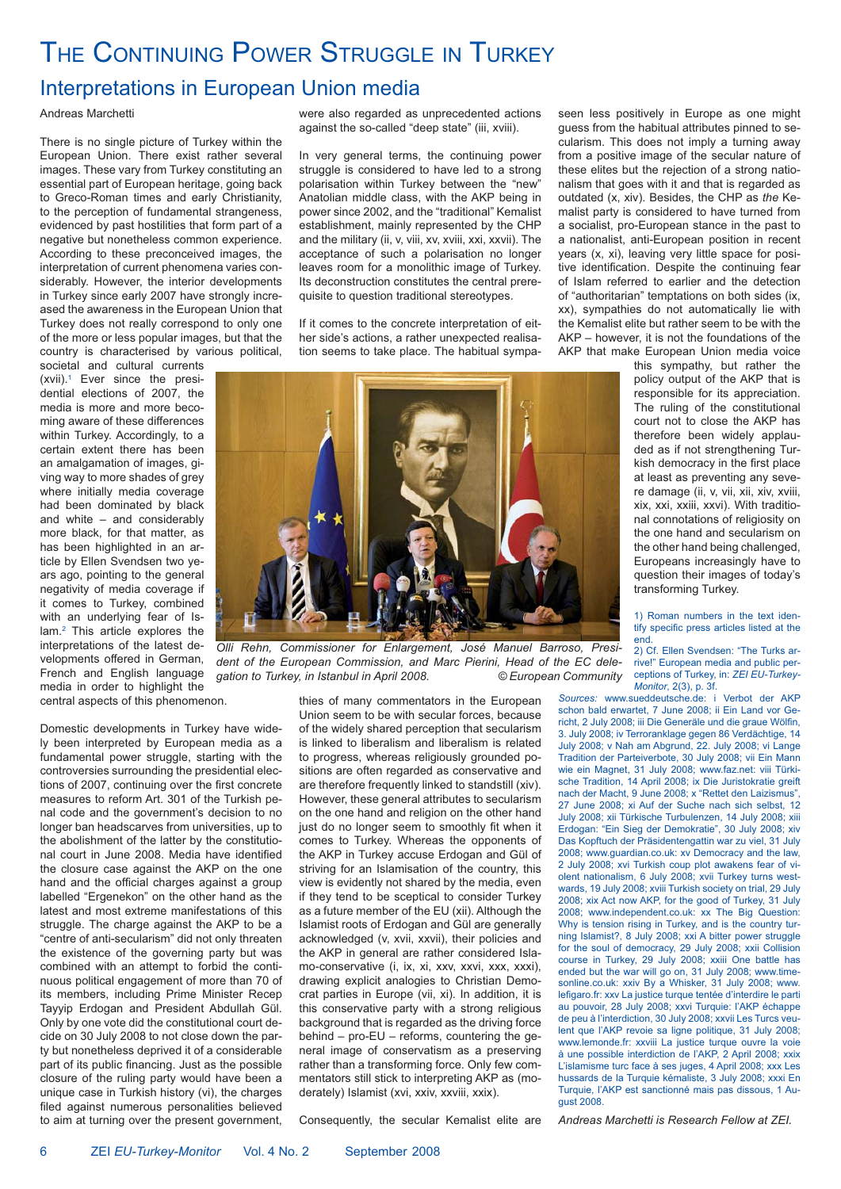# THE CONTINUING POWER STRUGGLE IN TURKEY

### Interpretations in European Union media

#### Andreas Marchetti

There is no single picture of Turkey within the European Union. There exist rather several images. These vary from Turkey constituting an essential part of European heritage, going back to Greco-Roman times and early Christianity, to the perception of fundamental strangeness, evidenced by past hostilities that form part of a negative but nonetheless common experience. According to these preconceived images, the interpretation of current phenomena varies considerably. However, the interior developments in Turkey since early 2007 have strongly increased the awareness in the European Union that Turkey does not really correspond to only one of the more or less popular images, but that the country is characterised by various political,

societal and cultural currents (xvii).1 Ever since the presidential elections of 2007, the media is more and more becoming aware of these differences within Turkey. Accordingly, to a certain extent there has been an amalgamation of images, giving way to more shades of grey where initially media coverage had been dominated by black and white – and considerably more black, for that matter, as has been highlighted in an article by Ellen Svendsen two years ago, pointing to the general negativity of media coverage if it comes to Turkey, combined with an underlying fear of Islam.<sup>2</sup> This article explores the interpretations of the latest developments offered in German, French and English language media in order to highlight the central aspects of this phenomenon.

Domestic developments in Turkey have widely been interpreted by European media as a fundamental power struggle, starting with the controversies surrounding the presidential elections of 2007, continuing over the first concrete measures to reform Art. 301 of the Turkish penal code and the government's decision to no longer ban headscarves from universities, up to the abolishment of the latter by the constitutional court in June 2008. Media have identified the closure case against the AKP on the one hand and the official charges against a group labelled "Ergenekon" on the other hand as the latest and most extreme manifestations of this struggle. The charge against the AKP to be a "centre of anti-secularism" did not only threaten the existence of the governing party but was combined with an attempt to forbid the continuous political engagement of more than 70 of its members, including Prime Minister Recep Tayyip Erdogan and President Abdullah Gül. Only by one vote did the constitutional court decide on 30 July 2008 to not close down the party but nonetheless deprived it of a considerable part of its public financing. Just as the possible closure of the ruling party would have been a unique case in Turkish history (vi), the charges filed against numerous personalities believed to aim at turning over the present government, were also regarded as unprecedented actions against the so-called "deep state" (iii, xviii).

In very general terms, the continuing power struggle is considered to have led to a strong polarisation within Turkey between the "new" Anatolian middle class, with the AKP being in power since 2002, and the "traditional" Kemalist establishment, mainly represented by the CHP and the military (ii, v, viii, xv, xviii, xxi, xxvii). The acceptance of such a polarisation no longer leaves room for a monolithic image of Turkey. Its deconstruction constitutes the central prerequisite to question traditional stereotypes.

If it comes to the concrete interpretation of either side's actions, a rather unexpected realisation seems to take place. The habitual sympa-



*Olli Rehn, Commissioner for Enlargement, José Manuel Barroso, President of the European Commission, and Marc Pierini, Head of the EC dele*gation to Turkey, in Istanbul in April 2008.

thies of many commentators in the European Union seem to be with secular forces, because of the widely shared perception that secularism is linked to liberalism and liberalism is related to progress, whereas religiously grounded positions are often regarded as conservative and are therefore frequently linked to standstill (xiv). However, these general attributes to secularism on the one hand and religion on the other hand just do no longer seem to smoothly fit when it comes to Turkey. Whereas the opponents of the AKP in Turkey accuse Erdogan and Gül of striving for an Islamisation of the country, this view is evidently not shared by the media, even if they tend to be sceptical to consider Turkey as a future member of the EU (xii). Although the Islamist roots of Erdogan and Gül are generally acknowledged (v, xvii, xxvii), their policies and the AKP in general are rather considered Islamo-conservative (i, ix, xi, xxv, xxvi, xxx, xxxi), drawing explicit analogies to Christian Democrat parties in Europe (vii, xi). In addition, it is this conservative party with a strong religious background that is regarded as the driving force behind – pro-EU – reforms, countering the general image of conservatism as a preserving rather than a transforming force. Only few commentators still stick to interpreting AKP as (moderately) Islamist (xvi, xxiv, xxviii, xxix).

seen less positively in Europe as one might guess from the habitual attributes pinned to secularism. This does not imply a turning away from a positive image of the secular nature of these elites but the rejection of a strong nationalism that goes with it and that is regarded as outdated (x, xiv). Besides, the CHP as *the* Kemalist party is considered to have turned from a socialist, pro-European stance in the past to a nationalist, anti-European position in recent years (x, xi), leaving very little space for positive identification. Despite the continuing fear of Islam referred to earlier and the detection of "authoritarian" temptations on both sides (ix, xx), sympathies do not automatically lie with the Kemalist elite but rather seem to be with the AKP – however, it is not the foundations of the AKP that make European Union media voice

this sympathy, but rather the policy output of the AKP that is responsible for its appreciation. The ruling of the constitutional court not to close the AKP has therefore been widely applauded as if not strengthening Turkish democracy in the first place at least as preventing any severe damage (ii, v, vii, xii, xiv, xviii, xix, xxi, xxiii, xxvi). With traditional connotations of religiosity on the one hand and secularism on the other hand being challenged, Europeans increasingly have to question their images of today's transforming Turkey.

1) Roman numbers in the text identify specific press articles listed at the end.

2) Cf. Ellen Svendsen: "The Turks arrive!" European media and public perceptions of Turkey, in: *ZEI EU-Turkey-Monitor*, 2(3), p. 3f.

*Sources:* www.sueddeutsche.de: i Verbot der AKP schon bald erwartet, 7 June 2008; ii Ein Land vor Gericht, 2 July 2008; iii Die Generäle und die graue Wölfin 3. July 2008; iv Terroranklage gegen 86 Verdächtige, 14 July 2008; v Nah am Abgrund, 22. July 2008; vi Lange Tradition der Parteiverbote, 30 July 2008; vii Ein Mann wie ein Magnet, 31 July 2008; www.faz.net: viii Türkische Tradition, 14 April 2008; ix Die Juristokratie greift nach der Macht, 9 June 2008; x "Rettet den Laizismus", 27 June 2008; xi Auf der Suche nach sich selbst, 12 July 2008; xii Türkische Turbulenzen, 14 July 2008; xiii Erdogan: "Ein Sieg der Demokratie", 30 July 2008; xiv Das Kopftuch der Präsidentengattin war zu viel, 31 July 2008; www.guardian.co.uk: xv Democracy and the law, 2 July 2008; xvi Turkish coup plot awakens fear of violent nationalism, 6 July 2008; xvii Turkey turns westwards, 19 July 2008; xviii Turkish society on trial, 29 July 2008; xix Act now AKP, for the good of Turkey, 31 July 2008; www.independent.co.uk: xx The Big Question: Why is tension rising in Turkey, and is the country turning Islamist?, 8 July 2008; xxi A bitter power struggle for the soul of democracy, 29 July 2008; xxii Collision course in Turkey, 29 July 2008; xxiii One battle has ended but the war will go on, 31 July 2008; www.timesonline.co.uk: xxiv By a Whisker, 31 July 2008; www. lefigaro.fr: xxv La justice turque tentée d'interdire le parti au pouvoir, 28 July 2008; xxvi Turquie: l'AKP échappe de peu à l'interdiction, 30 July 2008; xxvii Les Turcs veulent que l'AKP revoie sa ligne politique, 31 July 2008; www.lemonde.fr: xxviii La justice turque ouvre la voie à une possible interdiction de l'AKP, 2 April 2008; xxix L'islamisme turc face à ses juges, 4 April 2008; xxx Les hussards de la Turquie kémaliste, 3 July 2008; xxxi En Turquie, l'AKP est sanctionné mais pas dissous, 1 August 2008.

Consequently, the secular Kemalist elite are *Andreas Marchetti is Research Fellow at ZEI.*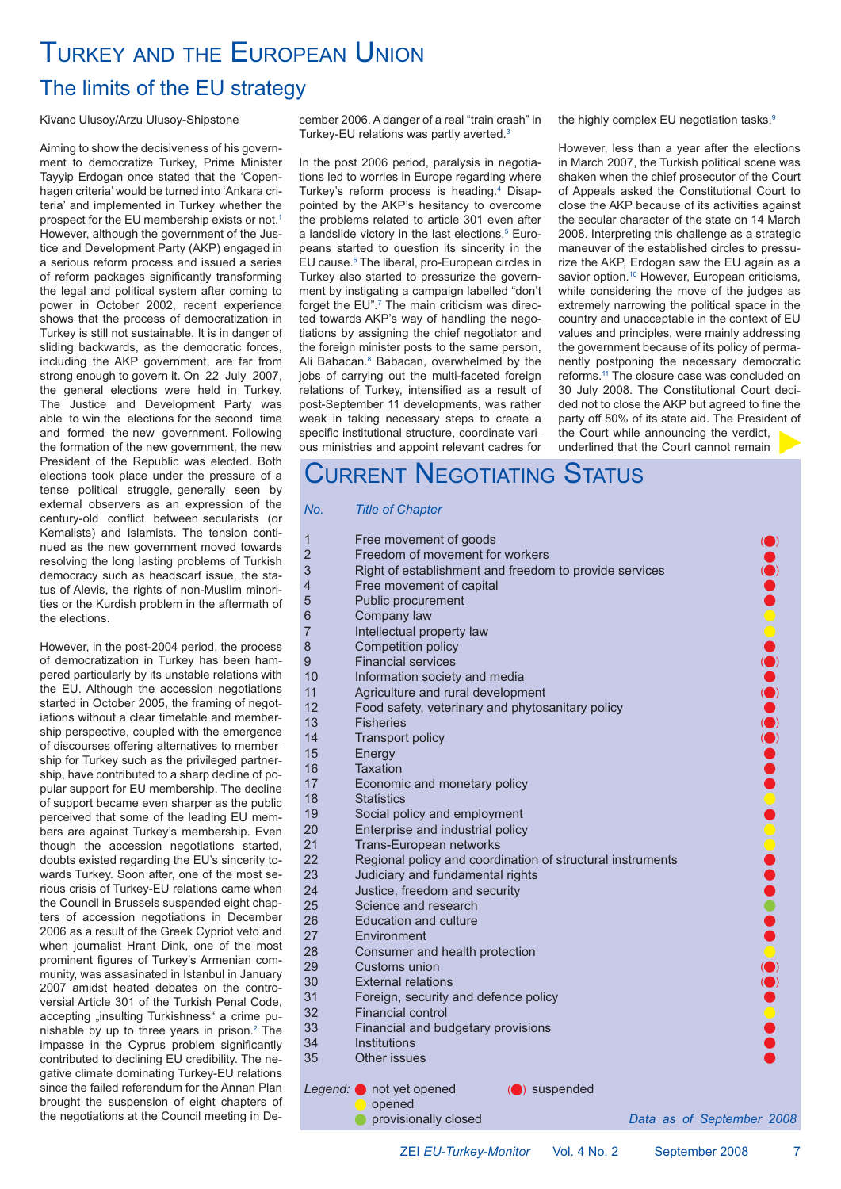# TURKEY AND THE EUROPEAN UNION

### The limits of the EU strategy

#### Kivanc Ulusoy/Arzu Ulusoy-Shipstone

Aiming to show the decisiveness of his government to democratize Turkey, Prime Minister Tayyip Erdogan once stated that the 'Copenhagen criteria' would be turned into 'Ankara criteria' and implemented in Turkey whether the prospect for the EU membership exists or not.1 However, although the government of the Justice and Development Party (AKP) engaged in a serious reform process and issued a series of reform packages significantly transforming the legal and political system after coming to power in October 2002, recent experience shows that the process of democratization in Turkey is still not sustainable. It is in danger of sliding backwards, as the democratic forces, including the AKP government, are far from strong enough to govern it. On 22 July 2007, the general elections were held in Turkey. The Justice and Development Party was able to win the elections for the second time and formed the new government. Following the formation of the new government, the new President of the Republic was elected. Both elections took place under the pressure of a tense political struggle, generally seen by external observers as an expression of the century-old conflict between secularists (or Kemalists) and Islamists. The tension continued as the new government moved towards resolving the long lasting problems of Turkish democracy such as headscarf issue, the status of Alevis, the rights of non-Muslim minorities or the Kurdish problem in the aftermath of the elections.

However, in the post-2004 period, the process of democratization in Turkey has been hampered particularly by its unstable relations with the EU. Although the accession negotiations started in October 2005, the framing of negotiations without a clear timetable and membership perspective, coupled with the emergence of discourses offering alternatives to membership for Turkey such as the privileged partnership, have contributed to a sharp decline of popular support for EU membership. The decline of support became even sharper as the public perceived that some of the leading EU members are against Turkey's membership. Even though the accession negotiations started, doubts existed regarding the EU's sincerity towards Turkey. Soon after, one of the most serious crisis of Turkey-EU relations came when the Council in Brussels suspended eight chapters of accession negotiations in December 2006 as a result of the Greek Cypriot veto and when journalist Hrant Dink, one of the most prominent figures of Turkey's Armenian community, was assasinated in Istanbul in January 2007 amidst heated debates on the controversial Article 301 of the Turkish Penal Code, accepting "insulting Turkishness" a crime punishable by up to three years in prison.2 The impasse in the Cyprus problem significantly contributed to declining EU credibility. The negative climate dominating Turkey-EU relations since the failed referendum for the Annan Plan brought the suspension of eight chapters of the negotiations at the Council meeting in December 2006. A danger of a real "train crash" in Turkey-EU relations was partly averted. 3

In the post 2006 period, paralysis in negotiations led to worries in Europe regarding where Turkey's reform process is heading. 4 Disappointed by the AKP's hesitancy to overcome the problems related to article 301 even after a landslide victory in the last elections,<sup>5</sup> Europeans started to question its sincerity in the EU cause.<sup>6</sup> The liberal, pro-European circles in Turkey also started to pressurize the government by instigating a campaign labelled "don't forget the EU".<sup>7</sup> The main criticism was directed towards AKP's way of handling the negotiations by assigning the chief negotiator and the foreign minister posts to the same person, Ali Babacan. <sup>8</sup> Babacan, overwhelmed by the jobs of carrying out the multi-faceted foreign relations of Turkey, intensified as a result of post-September 11 developments, was rather weak in taking necessary steps to create a specific institutional structure, coordinate various ministries and appoint relevant cadres for the highly complex EU negotiation tasks.<sup>9</sup>

However, less than a year after the elections in March 2007, the Turkish political scene was shaken when the chief prosecutor of the Court of Appeals asked the Constitutional Court to close the AKP because of its activities against the secular character of the state on 14 March 2008. Interpreting this challenge as a strategic maneuver of the established circles to pressurize the AKP, Erdogan saw the EU again as a savior option. <sup>10</sup> However, European criticisms, while considering the move of the judges as extremely narrowing the political space in the country and unacceptable in the context of EU values and principles, were mainly addressing the government because of its policy of permanently postponing the necessary democratic reforms. <sup>11</sup> The closure case was concluded on 30 July 2008. The Constitutional Court decided not to close the AKP but agreed to fine the party off 50% of its state aid. The President of the Court while announcing the verdict, underlined that the Court cannot remain

### CURRENT NEGOTIATING STATUS

#### *No. Title of Chapter*

| 1                        | Free movement of goods                                     |                           |                           |
|--------------------------|------------------------------------------------------------|---------------------------|---------------------------|
| $\overline{2}$           | Freedom of movement for workers                            |                           |                           |
| 3                        | Right of establishment and freedom to provide services     |                           |                           |
| $\overline{\mathcal{A}}$ | Free movement of capital                                   |                           |                           |
| 5                        | Public procurement                                         |                           |                           |
| 6                        | Company law                                                |                           |                           |
| $\overline{7}$           | Intellectual property law                                  |                           |                           |
| 8                        | Competition policy                                         |                           |                           |
| 9                        | <b>Financial services</b>                                  |                           |                           |
| 10                       | Information society and media                              |                           |                           |
| 11                       | Agriculture and rural development                          |                           |                           |
| 12                       | Food safety, veterinary and phytosanitary policy           |                           |                           |
| 13                       | <b>Fisheries</b>                                           |                           |                           |
| 14                       | <b>Transport policy</b>                                    |                           |                           |
| 15                       | Energy                                                     |                           |                           |
| 16                       | Taxation                                                   |                           |                           |
| 17                       | Economic and monetary policy                               |                           |                           |
| 18                       | <b>Statistics</b>                                          |                           |                           |
| 19                       | Social policy and employment                               |                           |                           |
| 20                       | Enterprise and industrial policy                           |                           |                           |
| 21                       | Trans-European networks                                    |                           |                           |
| 22                       | Regional policy and coordination of structural instruments |                           |                           |
| 23                       | Judiciary and fundamental rights                           |                           |                           |
| 24                       | Justice, freedom and security                              |                           |                           |
| 25                       | Science and research                                       |                           |                           |
| 26                       | <b>Education and culture</b>                               |                           |                           |
| 27                       | Environment                                                |                           |                           |
| 28                       | Consumer and health protection                             |                           |                           |
| 29                       | Customs union                                              |                           | $\bullet \bullet \bullet$ |
| 30                       | <b>External relations</b>                                  |                           |                           |
| 31                       | Foreign, security and defence policy                       |                           |                           |
| 32                       | <b>Financial control</b>                                   |                           |                           |
| 33                       | Financial and budgetary provisions                         |                           |                           |
| 34                       | Institutions                                               |                           |                           |
| 35                       | Other issues                                               |                           |                           |
|                          | Legend: not yet opened<br>(C) suspended                    |                           |                           |
|                          | opened                                                     |                           |                           |
|                          | provisionally closed                                       | Data as of September 2008 |                           |